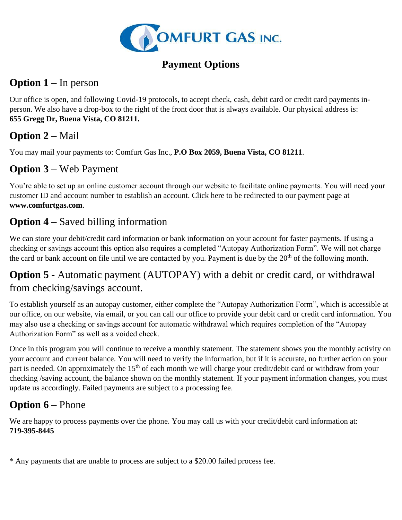

## **Payment Options**

# **Option 1 –** In person

Our office is open, and following Covid-19 protocols, to accept check, cash, debit card or credit card payments inperson. We also have a drop-box to the right of the front door that is always available. Our physical address is: **655 Gregg Dr, Buena Vista, CO 81211.**

# **Option 2 –** Mail

You may mail your payments to: Comfurt Gas Inc., **P.O Box 2059, Buena Vista, CO 81211**.

# **Option 3 –** Web Payment

You're able to set up an online customer account through our website to facilitate online payments. You will need your customer ID and account number to establish an account. [Click here](https://webhub.rccbi.com/?returnUrl=home&logical=comgasd1&version=1&logout=comgasd1) to be redirected to our payment page at **www.comfurtgas.com**.

# **Option 4 –** Saved billing information

We can store your debit/credit card information or bank information on your account for faster payments. If using a checking or savings account this option also requires a completed "Autopay Authorization Form". We will not charge the card or bank account on file until we are contacted by you. Payment is due by the 20<sup>th</sup> of the following month.

## **Option 5 -** Automatic payment (AUTOPAY) with a debit or credit card, or withdrawal from checking/savings account.

To establish yourself as an autopay customer, either complete the "Autopay Authorization Form", which is accessible at our office, on our website, via email, or you can call our office to provide your debit card or credit card information. You may also use a checking or savings account for automatic withdrawal which requires completion of the "Autopay Authorization Form" as well as a voided check.

Once in this program you will continue to receive a monthly statement. The statement shows you the monthly activity on your account and current balance. You will need to verify the information, but if it is accurate, no further action on your part is needed. On approximately the 15<sup>th</sup> of each month we will charge your credit/debit card or withdraw from your checking /saving account, the balance shown on the monthly statement. If your payment information changes, you must update us accordingly. Failed payments are subject to a processing fee.

# **Option 6 –** Phone

We are happy to process payments over the phone. You may call us with your credit/debit card information at: **719-395-8445**

\* Any payments that are unable to process are subject to a \$20.00 failed process fee.